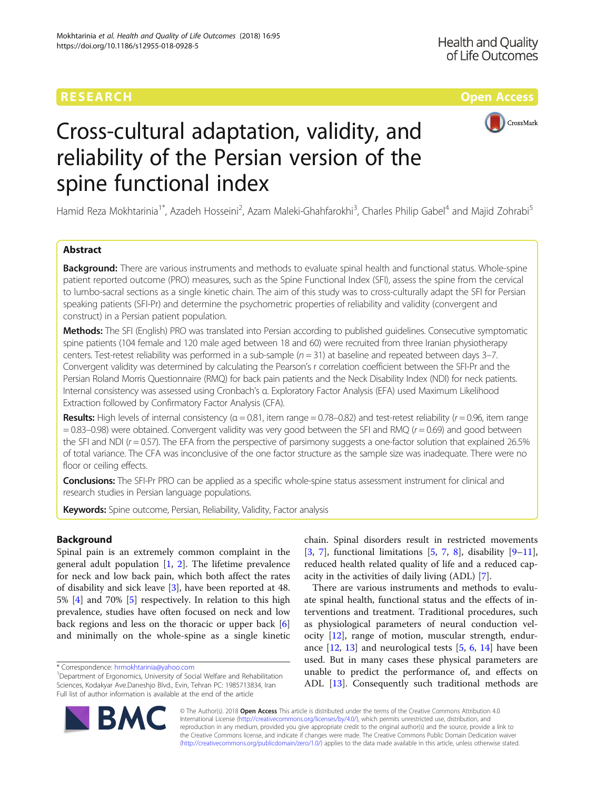## RESEARCH **RESEARCH CONSUMING THE CONSUMING TEACHER CONSUMING THE CONSUMING TEACHER CONSUMING THE CONSUMING TEACHER CONSUMING THE CONSUMING TEACHER CONSUMING THE CONSUMING TEACHER CONSUMING THE CONSUMING THE CONSUMING THE**



# Cross-cultural adaptation, validity, and reliability of the Persian version of the spine functional index

Hamid Reza Mokhtarinia<sup>1\*</sup>, Azadeh Hosseini<sup>2</sup>, Azam Maleki-Ghahfarokhi<sup>3</sup>, Charles Philip Gabel<sup>4</sup> and Majid Zohrabi<sup>5</sup>

### Abstract

**Background:** There are various instruments and methods to evaluate spinal health and functional status. Whole-spine patient reported outcome (PRO) measures, such as the Spine Functional Index (SFI), assess the spine from the cervical to lumbo-sacral sections as a single kinetic chain. The aim of this study was to cross-culturally adapt the SFI for Persian speaking patients (SFI-Pr) and determine the psychometric properties of reliability and validity (convergent and construct) in a Persian patient population.

Methods: The SFI (English) PRO was translated into Persian according to published guidelines. Consecutive symptomatic spine patients (104 female and 120 male aged between 18 and 60) were recruited from three Iranian physiotherapy centers. Test-retest reliability was performed in a sub-sample  $(n = 31)$  at baseline and repeated between days 3–7. Convergent validity was determined by calculating the Pearson's r correlation coefficient between the SFI-Pr and the Persian Roland Morris Questionnaire (RMQ) for back pain patients and the Neck Disability Index (NDI) for neck patients. Internal consistency was assessed using Cronbach's α. Exploratory Factor Analysis (EFA) used Maximum Likelihood Extraction followed by Confirmatory Factor Analysis (CFA).

Results: High levels of internal consistency ( $\alpha = 0.81$ , item range = 0.78–0.82) and test-retest reliability ( $r = 0.96$ , item range  $= 0.83 - 0.98$ ) were obtained. Convergent validity was very good between the SFI and RMQ ( $r = 0.69$ ) and good between the SFI and NDI ( $r = 0.57$ ). The EFA from the perspective of parsimony suggests a one-factor solution that explained 26.5% of total variance. The CFA was inconclusive of the one factor structure as the sample size was inadequate. There were no floor or ceiling effects.

**Conclusions:** The SFI-Pr PRO can be applied as a specific whole-spine status assessment instrument for clinical and research studies in Persian language populations.

Keywords: Spine outcome, Persian, Reliability, Validity, Factor analysis

### Background

Spinal pain is an extremely common complaint in the general adult population  $[1, 2]$  $[1, 2]$  $[1, 2]$  $[1, 2]$ . The lifetime prevalence for neck and low back pain, which both affect the rates of disability and sick leave [\[3](#page-7-0)], have been reported at 48. 5% [\[4](#page-7-0)] and 70% [\[5](#page-7-0)] respectively. In relation to this high prevalence, studies have often focused on neck and low back regions and less on the thoracic or upper back [\[6](#page-7-0)] and minimally on the whole-spine as a single kinetic



There are various instruments and methods to evaluate spinal health, functional status and the effects of interventions and treatment. Traditional procedures, such as physiological parameters of neural conduction velocity [\[12](#page-8-0)], range of motion, muscular strength, endurance [\[12,](#page-8-0) [13](#page-8-0)] and neurological tests [\[5](#page-7-0), [6,](#page-7-0) [14\]](#page-8-0) have been used. But in many cases these physical parameters are unable to predict the performance of, and effects on ADL [[13\]](#page-8-0). Consequently such traditional methods are



© The Author(s). 2018 Open Access This article is distributed under the terms of the Creative Commons Attribution 4.0 International License [\(http://creativecommons.org/licenses/by/4.0/](http://creativecommons.org/licenses/by/4.0/)), which permits unrestricted use, distribution, and reproduction in any medium, provided you give appropriate credit to the original author(s) and the source, provide a link to the Creative Commons license, and indicate if changes were made. The Creative Commons Public Domain Dedication waiver [\(http://creativecommons.org/publicdomain/zero/1.0/](http://creativecommons.org/publicdomain/zero/1.0/)) applies to the data made available in this article, unless otherwise stated.

<sup>\*</sup> Correspondence: [hrmokhtarinia@yahoo.com](mailto:hrmokhtarinia@yahoo.com) <sup>1</sup>

<sup>&</sup>lt;sup>1</sup>Department of Ergonomics, University of Social Welfare and Rehabilitation Sciences, Kodakyar Ave.Daneshjo Blvd., Evin, Tehran PC: 1985713834, Iran Full list of author information is available at the end of the article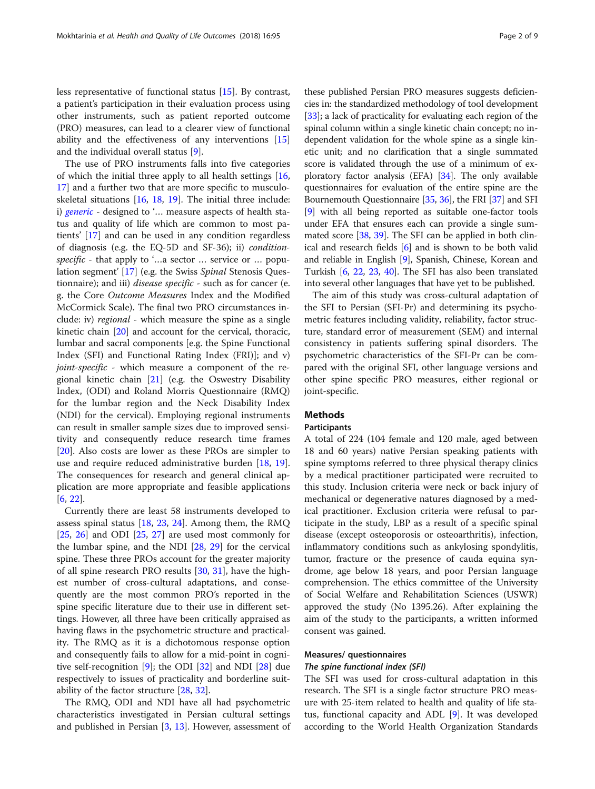The use of PRO instruments falls into five categories of which the initial three apply to all health settings  $[16, 16]$  $[16, 16]$  $[16, 16]$ [17\]](#page-8-0) and a further two that are more specific to musculoskeletal situations [[16,](#page-8-0) [18](#page-8-0), [19\]](#page-8-0). The initial three include: i) [generic](https://en.wiktionary.org/wiki/generic) - designed to '... measure aspects of health status and quality of life which are common to most patients' [\[17\]](#page-8-0) and can be used in any condition regardless of diagnosis (e.g. the EQ-5D and SF-36); ii) conditionspecific - that apply to '...a sector ... service or ... population segment' [[17\]](#page-8-0) (e.g. the Swiss Spinal Stenosis Questionnaire); and iii) *disease specific* - such as for cancer (e. g. the Core Outcome Measures Index and the Modified McCormick Scale). The final two PRO circumstances include: iv) regional - which measure the spine as a single kinetic chain [\[20](#page-8-0)] and account for the cervical, thoracic, lumbar and sacral components [e.g. the Spine Functional Index (SFI) and Functional Rating Index (FRI)]; and v) *joint-specific -* which measure a component of the regional kinetic chain [\[21](#page-8-0)] (e.g. the Oswestry Disability Index, (ODI) and Roland Morris Questionnaire (RMQ) for the lumbar region and the Neck Disability Index (NDI) for the cervical). Employing regional instruments can result in smaller sample sizes due to improved sensitivity and consequently reduce research time frames [[20\]](#page-8-0). Also costs are lower as these PROs are simpler to use and require reduced administrative burden [[18,](#page-8-0) [19](#page-8-0)]. The consequences for research and general clinical application are more appropriate and feasible applications [[6,](#page-7-0) [22\]](#page-8-0).

Currently there are least 58 instruments developed to assess spinal status  $[18, 23, 24]$  $[18, 23, 24]$  $[18, 23, 24]$  $[18, 23, 24]$  $[18, 23, 24]$  $[18, 23, 24]$  $[18, 23, 24]$ . Among them, the RMQ  $[25, 26]$  $[25, 26]$  $[25, 26]$  $[25, 26]$  $[25, 26]$  and ODI  $[25, 27]$  $[25, 27]$  $[25, 27]$  are used most commonly for the lumbar spine, and the NDI [\[28](#page-8-0), [29](#page-8-0)] for the cervical spine. These three PROs account for the greater majority of all spine research PRO results [[30,](#page-8-0) [31\]](#page-8-0), have the highest number of cross-cultural adaptations, and consequently are the most common PRO's reported in the spine specific literature due to their use in different settings. However, all three have been critically appraised as having flaws in the psychometric structure and practicality. The RMQ as it is a dichotomous response option and consequently fails to allow for a mid-point in cognitive self-recognition [\[9](#page-8-0)]; the ODI [[32\]](#page-8-0) and NDI [\[28](#page-8-0)] due respectively to issues of practicality and borderline suitability of the factor structure [[28,](#page-8-0) [32](#page-8-0)].

The RMQ, ODI and NDI have all had psychometric characteristics investigated in Persian cultural settings and published in Persian  $[3, 13]$  $[3, 13]$  $[3, 13]$  $[3, 13]$ . However, assessment of

these published Persian PRO measures suggests deficiencies in: the standardized methodology of tool development [[33](#page-8-0)]; a lack of practicality for evaluating each region of the spinal column within a single kinetic chain concept; no independent validation for the whole spine as a single kinetic unit; and no clarification that a single summated score is validated through the use of a minimum of exploratory factor analysis (EFA) [\[34](#page-8-0)]. The only available questionnaires for evaluation of the entire spine are the Bournemouth Questionnaire [[35](#page-8-0), [36\]](#page-8-0), the FRI [[37](#page-8-0)] and SFI [[9\]](#page-8-0) with all being reported as suitable one-factor tools under EFA that ensures each can provide a single sum-mated score [[38](#page-8-0), [39\]](#page-8-0). The SFI can be applied in both clinical and research fields [\[6](#page-7-0)] and is shown to be both valid and reliable in English [\[9\]](#page-8-0), Spanish, Chinese, Korean and Turkish [\[6,](#page-7-0) [22](#page-8-0), [23,](#page-8-0) [40](#page-8-0)]. The SFI has also been translated into several other languages that have yet to be published.

The aim of this study was cross-cultural adaptation of the SFI to Persian (SFI-Pr) and determining its psychometric features including validity, reliability, factor structure, standard error of measurement (SEM) and internal consistency in patients suffering spinal disorders. The psychometric characteristics of the SFI-Pr can be compared with the original SFI, other language versions and other spine specific PRO measures, either regional or joint-specific.

#### Methods

#### Participants

A total of 224 (104 female and 120 male, aged between 18 and 60 years) native Persian speaking patients with spine symptoms referred to three physical therapy clinics by a medical practitioner participated were recruited to this study. Inclusion criteria were neck or back injury of mechanical or degenerative natures diagnosed by a medical practitioner. Exclusion criteria were refusal to participate in the study, LBP as a result of a specific spinal disease (except osteoporosis or osteoarthritis), infection, inflammatory conditions such as ankylosing spondylitis, tumor, fracture or the presence of cauda equina syndrome, age below 18 years, and poor Persian language comprehension. The ethics committee of the University of Social Welfare and Rehabilitation Sciences (USWR) approved the study (No 1395.26). After explaining the aim of the study to the participants, a written informed consent was gained.

#### Measures/ questionnaires

#### The spine functional index (SFI)

The SFI was used for cross-cultural adaptation in this research. The SFI is a single factor structure PRO measure with 25-item related to health and quality of life status, functional capacity and ADL [[9\]](#page-8-0). It was developed according to the World Health Organization Standards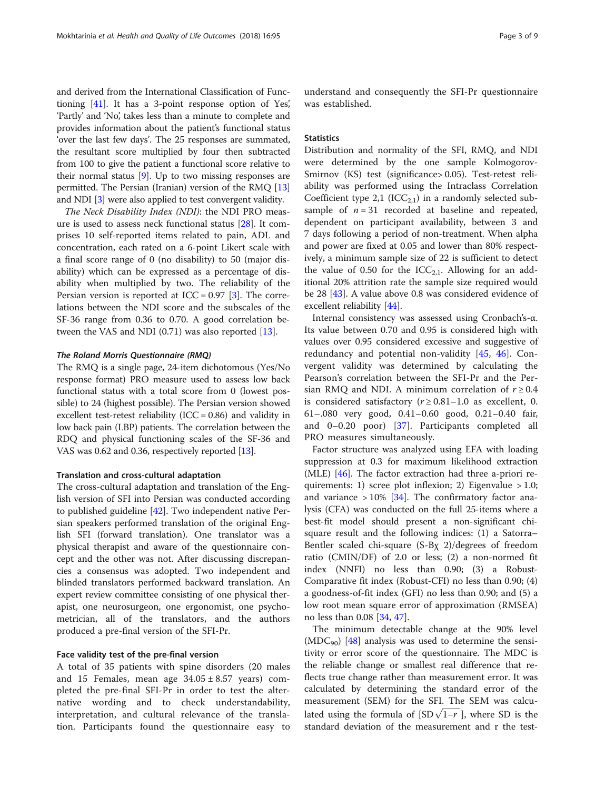and derived from the International Classification of Functioning [[41](#page-8-0)]. It has a 3-point response option of Yes', 'Partly' and 'No', takes less than a minute to complete and provides information about the patient's functional status 'over the last few days'. The 25 responses are summated, the resultant score multiplied by four then subtracted from 100 to give the patient a functional score relative to their normal status [[9](#page-8-0)]. Up to two missing responses are permitted. The Persian (Iranian) version of the RMQ [[13](#page-8-0)] and NDI [\[3](#page-7-0)] were also applied to test convergent validity.

The Neck Disability Index (NDI): the NDI PRO measure is used to assess neck functional status [\[28\]](#page-8-0). It comprises 10 self-reported items related to pain, ADL and concentration, each rated on a 6-point Likert scale with a final score range of 0 (no disability) to 50 (major disability) which can be expressed as a percentage of disability when multiplied by two. The reliability of the Persian version is reported at  $ICC = 0.97$  [\[3](#page-7-0)]. The correlations between the NDI score and the subscales of the SF-36 range from 0.36 to 0.70. A good correlation between the VAS and NDI  $(0.71)$  was also reported  $[13]$ .

#### The Roland Morris Questionnaire (RMQ)

The RMQ is a single page, 24-item dichotomous (Yes/No response format) PRO measure used to assess low back functional status with a total score from 0 (lowest possible) to 24 (highest possible). The Persian version showed excellent test-retest reliability (ICC =  $0.86$ ) and validity in low back pain (LBP) patients. The correlation between the RDQ and physical functioning scales of the SF-36 and VAS was 0.62 and 0.36, respectively reported [\[13](#page-8-0)].

#### Translation and cross-cultural adaptation

The cross-cultural adaptation and translation of the English version of SFI into Persian was conducted according to published guideline [\[42](#page-8-0)]. Two independent native Persian speakers performed translation of the original English SFI (forward translation). One translator was a physical therapist and aware of the questionnaire concept and the other was not. After discussing discrepancies a consensus was adopted. Two independent and blinded translators performed backward translation. An expert review committee consisting of one physical therapist, one neurosurgeon, one ergonomist, one psychometrician, all of the translators, and the authors produced a pre-final version of the SFI-Pr.

#### Face validity test of the pre-final version

A total of 35 patients with spine disorders (20 males and 15 Females, mean age  $34.05 \pm 8.57$  years) completed the pre-final SFI-Pr in order to test the alternative wording and to check understandability, interpretation, and cultural relevance of the translation. Participants found the questionnaire easy to

understand and consequently the SFI-Pr questionnaire was established.

#### **Statistics**

Distribution and normality of the SFI, RMQ, and NDI were determined by the one sample Kolmogorov-Smirnov (KS) test (significance> 0.05). Test-retest reliability was performed using the Intraclass Correlation Coefficient type 2,1 ( $ICC_{2,1}$ ) in a randomly selected subsample of  $n = 31$  recorded at baseline and repeated, dependent on participant availability, between 3 and 7 days following a period of non-treatment. When alpha and power are fixed at 0.05 and lower than 80% respectively, a minimum sample size of 22 is sufficient to detect the value of 0.50 for the  $ICC_{2,1}$ . Allowing for an additional 20% attrition rate the sample size required would be 28 [\[43](#page-8-0)]. A value above 0.8 was considered evidence of excellent reliability [[44\]](#page-8-0).

Internal consistency was assessed using Cronbach's-α. Its value between 0.70 and 0.95 is considered high with values over 0.95 considered excessive and suggestive of redundancy and potential non-validity [[45](#page-8-0), [46\]](#page-8-0). Convergent validity was determined by calculating the Pearson's correlation between the SFI-Pr and the Persian RMQ and NDI. A minimum correlation of  $r \geq 0.4$ is considered satisfactory ( $r \ge 0.81-1.0$  as excellent, 0. 61–.080 very good, 0.41–0.60 good, 0.21–0.40 fair, and 0–0.20 poor) [\[37](#page-8-0)]. Participants completed all PRO measures simultaneously.

Factor structure was analyzed using EFA with loading suppression at 0.3 for maximum likelihood extraction (MLE) [\[46\]](#page-8-0). The factor extraction had three a-priori requirements: 1) scree plot inflexion; 2) Eigenvalue  $> 1.0$ ; and variance  $> 10\%$  [\[34](#page-8-0)]. The confirmatory factor analysis (CFA) was conducted on the full 25-items where a best-fit model should present a non-significant chisquare result and the following indices: (1) a Satorra– Bentler scaled chi-square (S-Bχ 2)/degrees of freedom ratio (CMIN/DF) of 2.0 or less; (2) a non-normed fit index (NNFI) no less than 0.90; (3) a Robust-Comparative fit index (Robust-CFI) no less than 0.90; (4) a goodness-of-fit index (GFI) no less than 0.90; and (5) a low root mean square error of approximation (RMSEA) no less than 0.08 [[34,](#page-8-0) [47\]](#page-8-0).

The minimum detectable change at the 90% level  $(MDC_{90})$  [\[48](#page-8-0)] analysis was used to determine the sensitivity or error score of the questionnaire. The MDC is the reliable change or smallest real difference that reflects true change rather than measurement error. It was calculated by determining the standard error of the measurement (SEM) for the SFI. The SEM was calcumeasurement (SEM) for the SFI. The SEM was calculated using the formula of  $[SD\sqrt{1-r}]$ , where SD is the standard deviation of the measurement and r the test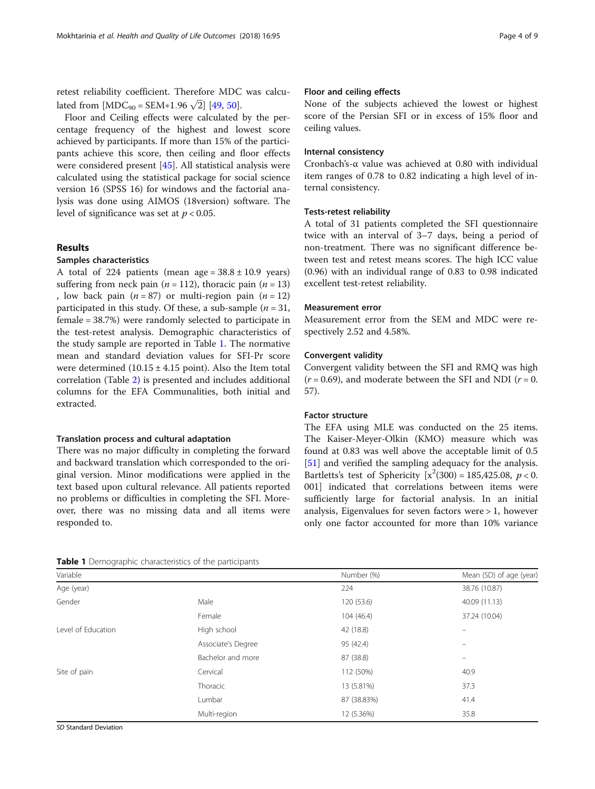retest reliability coefficient. Therefore MDC was calcuretest reliability coefficient. Therefore MDC<br>lated from  $[MDC_{90} = SEM*1.96 \sqrt{2}]$  [\[49](#page-8-0), [50\]](#page-8-0).

Floor and Ceiling effects were calculated by the percentage frequency of the highest and lowest score achieved by participants. If more than 15% of the participants achieve this score, then ceiling and floor effects were considered present [[45](#page-8-0)]. All statistical analysis were calculated using the statistical package for social science version 16 (SPSS 16) for windows and the factorial analysis was done using AIMOS (18version) software. The level of significance was set at  $p < 0.05$ .

#### Results

#### Samples characteristics

A total of 224 patients (mean age =  $38.8 \pm 10.9$  years) suffering from neck pain ( $n = 112$ ), thoracic pain ( $n = 13$ ) , low back pain  $(n = 87)$  or multi-region pain  $(n = 12)$ participated in this study. Of these, a sub-sample  $(n = 31,$ female = 38.7%) were randomly selected to participate in the test-retest analysis. Demographic characteristics of the study sample are reported in Table 1. The normative mean and standard deviation values for SFI-Pr score were determined  $(10.15 \pm 4.15 \text{ point})$ . Also the Item total correlation (Table [2](#page-4-0)) is presented and includes additional columns for the EFA Communalities, both initial and extracted.

#### Translation process and cultural adaptation

There was no major difficulty in completing the forward and backward translation which corresponded to the original version. Minor modifications were applied in the text based upon cultural relevance. All patients reported no problems or difficulties in completing the SFI. Moreover, there was no missing data and all items were responded to.

#### Floor and ceiling effects

None of the subjects achieved the lowest or highest score of the Persian SFI or in excess of 15% floor and ceiling values.

#### Internal consistency

Cronbach's-α value was achieved at 0.80 with individual item ranges of 0.78 to 0.82 indicating a high level of internal consistency.

#### Tests-retest reliability

A total of 31 patients completed the SFI questionnaire twice with an interval of 3–7 days, being a period of non-treatment. There was no significant difference between test and retest means scores. The high ICC value (0.96) with an individual range of 0.83 to 0.98 indicated excellent test-retest reliability.

#### Measurement error

Measurement error from the SEM and MDC were respectively 2.52 and 4.58%.

#### Convergent validity

Convergent validity between the SFI and RMQ was high  $(r = 0.69)$ , and moderate between the SFI and NDI  $(r = 0.69)$ 57).

#### Factor structure

The EFA using MLE was conducted on the 25 items. The Kaiser-Meyer-Olkin (KMO) measure which was found at 0.83 was well above the acceptable limit of 0.5 [[51\]](#page-8-0) and verified the sampling adequacy for the analysis. Bartletts's test of Sphericity  $[x^2(300) = 185,425.08, p < 0.$ 001] indicated that correlations between items were sufficiently large for factorial analysis. In an initial analysis, Eigenvalues for seven factors were > 1, however only one factor accounted for more than 10% variance

Table 1 Demographic characteristics of the participants

| Variable           |                    | Number (%)  | Mean (SD) of age (year) |
|--------------------|--------------------|-------------|-------------------------|
| Age (year)         |                    | 224         | 38.76 (10.87)           |
| Gender             | Male               | 120 (53.6)  | 40.09 (11.13)           |
|                    | Female             | 104 (46.4)  | 37.24 (10.04)           |
| Level of Education | High school        | 42 (18.8)   | -                       |
|                    | Associate's Degree | 95 (42.4)   | $\equiv$                |
|                    | Bachelor and more  | 87 (38.8)   | $\qquad \qquad -$       |
| Site of pain       | Cervical           | 112 (50%)   | 40.9                    |
|                    | Thoracic           | 13 (5.81%)  | 37.3                    |
|                    | Lumbar             | 87 (38.83%) | 41.4                    |
|                    | Multi-region       | 12 (5.36%)  | 35.8                    |

SD Standard Deviation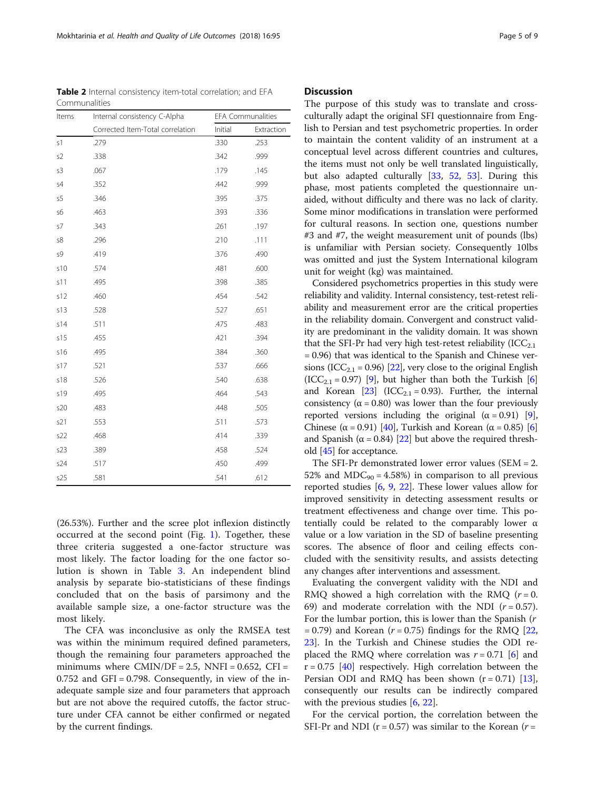(26.53%). Further and the scree plot inflexion distinctly occurred at the second point (Fig. [1](#page-5-0)). Together, these three criteria suggested a one-factor structure was most likely. The factor loading for the one factor solution is shown in Table [3](#page-6-0). An independent blind analysis by separate bio-statisticians of these findings concluded that on the basis of parsimony and the available sample size, a one-factor structure was the most likely.

The CFA was inconclusive as only the RMSEA test was within the minimum required defined parameters, though the remaining four parameters approached the minimums where  $CMIN/DF = 2.5$ ,  $NNFI = 0.652$ ,  $CFI =$  $0.752$  and GFI = 0.798. Consequently, in view of the inadequate sample size and four parameters that approach but are not above the required cutoffs, the factor structure under CFA cannot be either confirmed or negated by the current findings.

#### **Discussion**

The purpose of this study was to translate and crossculturally adapt the original SFI questionnaire from English to Persian and test psychometric properties. In order to maintain the content validity of an instrument at a conceptual level across different countries and cultures, the items must not only be well translated linguistically, but also adapted culturally [[33,](#page-8-0) [52,](#page-8-0) [53\]](#page-8-0). During this phase, most patients completed the questionnaire unaided, without difficulty and there was no lack of clarity. Some minor modifications in translation were performed for cultural reasons. In section one, questions number #3 and #7, the weight measurement unit of pounds (lbs) is unfamiliar with Persian society. Consequently 10lbs was omitted and just the System International kilogram unit for weight (kg) was maintained.

Considered psychometrics properties in this study were reliability and validity. Internal consistency, test-retest reliability and measurement error are the critical properties in the reliability domain. Convergent and construct validity are predominant in the validity domain. It was shown that the SFI-Pr had very high test-retest reliability  $(ICC_{2,1})$ = 0.96) that was identical to the Spanish and Chinese ver-sions (ICC<sub>2.1</sub> = 0.96) [[22](#page-8-0)], very close to the original English  $(ICC_{2,1} = 0.97)$  [\[9](#page-8-0)], but higher than both the Turkish [[6](#page-7-0)] and Korean  $[23]$  (ICC<sub>2.1</sub> = 0.93). Further, the internal consistency ( $\alpha$  = 0.80) was lower than the four previously reported versions including the original  $(\alpha = 0.91)$  $(\alpha = 0.91)$  $(\alpha = 0.91)$  [9], Chinese ( $\alpha$  = 0.91) [[40](#page-8-0)], Turkish and Korean ( $\alpha$  = 0.85) [[6](#page-7-0)] and Spanish ( $\alpha$  = 0.84) [[22](#page-8-0)] but above the required threshold [\[45\]](#page-8-0) for acceptance.

The SFI-Pr demonstrated lower error values (SEM  $= 2$ . 52% and  $MDC_{90} = 4.58\%$  in comparison to all previous reported studies [\[6](#page-7-0), [9,](#page-8-0) [22\]](#page-8-0). These lower values allow for improved sensitivity in detecting assessment results or treatment effectiveness and change over time. This potentially could be related to the comparably lower α value or a low variation in the SD of baseline presenting scores. The absence of floor and ceiling effects concluded with the sensitivity results, and assists detecting any changes after interventions and assessment.

Evaluating the convergent validity with the NDI and RMQ showed a high correlation with the RMQ  $(r = 0$ . 69) and moderate correlation with the NDI  $(r = 0.57)$ . For the lumbar portion, this is lower than the Spanish (r  $= 0.79$ ) and Korean ( $r = 0.75$ ) findings for the RMQ [[22](#page-8-0), [23\]](#page-8-0). In the Turkish and Chinese studies the ODI replaced the RMQ where correlation was  $r = 0.71$  [[6](#page-7-0)] and  $r = 0.75$  [\[40](#page-8-0)] respectively. High correlation between the Persian ODI and RMQ has been shown  $(r = 0.71)$  [\[13](#page-8-0)], consequently our results can be indirectly compared with the previous studies  $[6, 22]$  $[6, 22]$  $[6, 22]$  $[6, 22]$ .

For the cervical portion, the correlation between the SFI-Pr and NDI ( $r = 0.57$ ) was similar to the Korean ( $r =$ 

<span id="page-4-0"></span>

| <b>Table 2</b> Internal consistency item-total correlation; and EFA |                                  |         |                          |  |
|---------------------------------------------------------------------|----------------------------------|---------|--------------------------|--|
| Communalities                                                       |                                  |         |                          |  |
| Items                                                               | Internal consistency C-Alpha     |         | <b>EFA Communalities</b> |  |
|                                                                     | Corrected Item-Total correlation | Initial | Extract                  |  |

| iterns | internal consistency C-Alpha     | <b>EFA COMMITATIONS</b> |            |
|--------|----------------------------------|-------------------------|------------|
|        | Corrected Item-Total correlation | Initial                 | Extraction |
| s1     | .279                             | .330                    | .253       |
| s2     | .338                             | .342                    | .999       |
| s3     | .067                             | .179                    | .145       |
| s4     | .352                             | .442                    | .999       |
| s5     | .346                             | .395                    | .375       |
| s6     | .463                             | .393                    | .336       |
| s7     | .343                             | .261                    | .197       |
| s8     | .296                             | .210                    | .111       |
| s9     | .419                             | .376                    | .490       |
| s10    | .574                             | .481                    | .600       |
| s11    | .495                             | .398                    | .385       |
| s12    | .460                             | .454                    | .542       |
| s13    | .528                             | .527                    | .651       |
| s14    | .511                             | .475                    | .483       |
| s15    | .455                             | .421                    | .394       |
| s16    | .495                             | .384                    | .360       |
| s17    | .521                             | .537                    | .666       |
| s18    | .526                             | .540                    | .638       |
| s19    | .495                             | .464                    | .543       |
| s20    | .483                             | .448                    | .505       |
| s21    | .553                             | .511                    | .573       |
| s22    | .468                             | .414                    | .339       |
| s23    | .389                             | .458                    | .524       |
| s24    | .517                             | .450                    | .499       |
| s25    | .581                             | .541                    | .612       |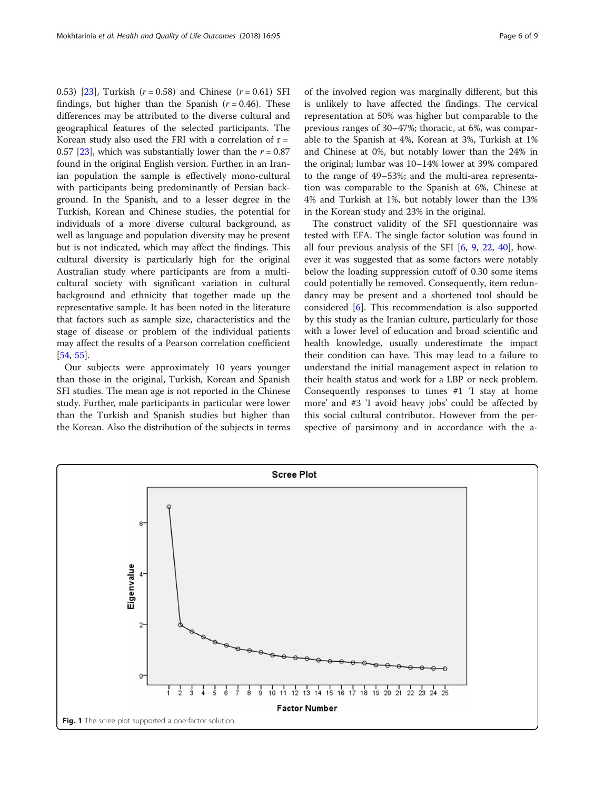<span id="page-5-0"></span>0.53) [\[23\]](#page-8-0), Turkish  $(r = 0.58)$  and Chinese  $(r = 0.61)$  SFI findings, but higher than the Spanish  $(r = 0.46)$ . These differences may be attributed to the diverse cultural and geographical features of the selected participants. The Korean study also used the FRI with a correlation of  $r =$ 0.57 [[23\]](#page-8-0), which was substantially lower than the  $r = 0.87$ found in the original English version. Further, in an Iranian population the sample is effectively mono-cultural with participants being predominantly of Persian background. In the Spanish, and to a lesser degree in the Turkish, Korean and Chinese studies, the potential for individuals of a more diverse cultural background, as well as language and population diversity may be present but is not indicated, which may affect the findings. This cultural diversity is particularly high for the original Australian study where participants are from a multicultural society with significant variation in cultural background and ethnicity that together made up the representative sample. It has been noted in the literature that factors such as sample size, characteristics and the stage of disease or problem of the individual patients may affect the results of a Pearson correlation coefficient [[54,](#page-8-0) [55\]](#page-8-0).

Our subjects were approximately 10 years younger than those in the original, Turkish, Korean and Spanish SFI studies. The mean age is not reported in the Chinese study. Further, male participants in particular were lower than the Turkish and Spanish studies but higher than the Korean. Also the distribution of the subjects in terms of the involved region was marginally different, but this is unlikely to have affected the findings. The cervical representation at 50% was higher but comparable to the previous ranges of 30–47%; thoracic, at 6%, was comparable to the Spanish at 4%, Korean at 3%, Turkish at 1% and Chinese at 0%, but notably lower than the 24% in the original; lumbar was 10–14% lower at 39% compared to the range of 49–53%; and the multi-area representation was comparable to the Spanish at 6%, Chinese at 4% and Turkish at 1%, but notably lower than the 13% in the Korean study and 23% in the original.

The construct validity of the SFI questionnaire was tested with EFA. The single factor solution was found in all four previous analysis of the SFI [\[6](#page-7-0), [9](#page-8-0), [22,](#page-8-0) [40\]](#page-8-0), however it was suggested that as some factors were notably below the loading suppression cutoff of 0.30 some items could potentially be removed. Consequently, item redundancy may be present and a shortened tool should be considered [\[6](#page-7-0)]. This recommendation is also supported by this study as the Iranian culture, particularly for those with a lower level of education and broad scientific and health knowledge, usually underestimate the impact their condition can have. This may lead to a failure to understand the initial management aspect in relation to their health status and work for a LBP or neck problem. Consequently responses to times #1 'I stay at home more' and #3 'I avoid heavy jobs' could be affected by this social cultural contributor. However from the perspective of parsimony and in accordance with the a-

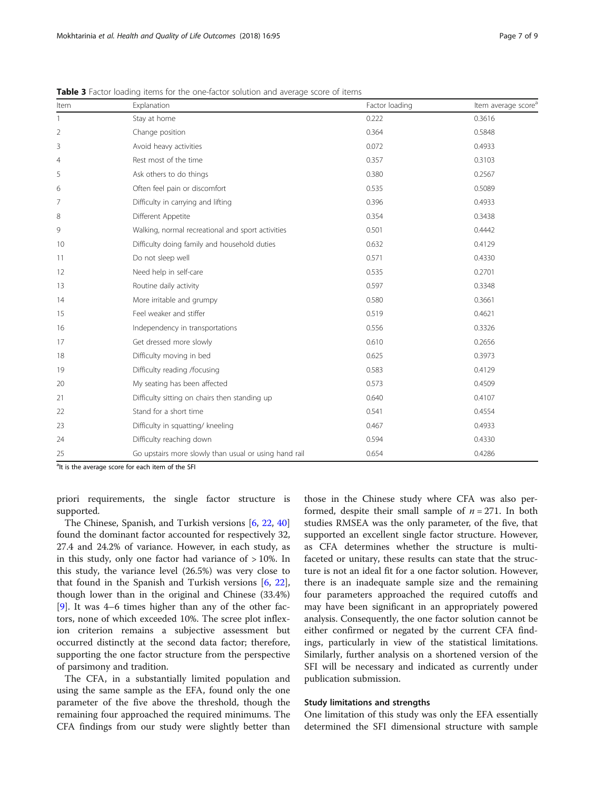| Item           | Explanation                                           | Factor loading | Item average score <sup>a</sup> |
|----------------|-------------------------------------------------------|----------------|---------------------------------|
| 1              | Stay at home                                          | 0.222          | 0.3616                          |
| $\overline{2}$ | Change position                                       | 0.364          | 0.5848                          |
| 3              | Avoid heavy activities                                | 0.072          | 0.4933                          |
| $\overline{4}$ | Rest most of the time                                 | 0.357          | 0.3103                          |
| 5              | Ask others to do things                               | 0.380          | 0.2567                          |
| 6              | Often feel pain or discomfort                         | 0.535          | 0.5089                          |
| 7              | Difficulty in carrying and lifting                    | 0.396          | 0.4933                          |
| 8              | Different Appetite                                    | 0.354          | 0.3438                          |
| 9              | Walking, normal recreational and sport activities     | 0.501          | 0.4442                          |
| 10             | Difficulty doing family and household duties          | 0.632          | 0.4129                          |
| 11             | Do not sleep well                                     | 0.571          | 0.4330                          |
| 12             | Need help in self-care                                | 0.535          | 0.2701                          |
| 13             | Routine daily activity                                | 0.597          | 0.3348                          |
| 14             | More irritable and grumpy                             | 0.580          | 0.3661                          |
| 15             | Feel weaker and stiffer                               | 0.519          | 0.4621                          |
| 16             | Independency in transportations                       | 0.556          | 0.3326                          |
| 17             | Get dressed more slowly                               | 0.610          | 0.2656                          |
| 18             | Difficulty moving in bed                              | 0.625          | 0.3973                          |
| 19             | Difficulty reading /focusing                          | 0.583          | 0.4129                          |
| 20             | My seating has been affected                          | 0.573          | 0.4509                          |
| 21             | Difficulty sitting on chairs then standing up         | 0.640          | 0.4107                          |
| 22             | Stand for a short time                                | 0.541          | 0.4554                          |
| 23             | Difficulty in squatting/ kneeling                     | 0.467          | 0.4933                          |
| 24             | Difficulty reaching down                              | 0.594          | 0.4330                          |
| 25             | Go upstairs more slowly than usual or using hand rail | 0.654          | 0.4286                          |

<span id="page-6-0"></span>Table 3 Factor loading items for the one-factor solution and average score of items

<sup>a</sup>lt is the average score for each item of the SFI

priori requirements, the single factor structure is supported.

The Chinese, Spanish, and Turkish versions [\[6,](#page-7-0) [22](#page-8-0), [40](#page-8-0)] found the dominant factor accounted for respectively 32, 27.4 and 24.2% of variance. However, in each study, as in this study, only one factor had variance of  $>10\%$ . In this study, the variance level (26.5%) was very close to that found in the Spanish and Turkish versions [\[6](#page-7-0), [22](#page-8-0)], though lower than in the original and Chinese (33.4%) [[9\]](#page-8-0). It was 4–6 times higher than any of the other factors, none of which exceeded 10%. The scree plot inflexion criterion remains a subjective assessment but occurred distinctly at the second data factor; therefore, supporting the one factor structure from the perspective of parsimony and tradition.

The CFA, in a substantially limited population and using the same sample as the EFA, found only the one parameter of the five above the threshold, though the remaining four approached the required minimums. The CFA findings from our study were slightly better than those in the Chinese study where CFA was also performed, despite their small sample of  $n = 271$ . In both studies RMSEA was the only parameter, of the five, that supported an excellent single factor structure. However, as CFA determines whether the structure is multifaceted or unitary, these results can state that the structure is not an ideal fit for a one factor solution. However, there is an inadequate sample size and the remaining four parameters approached the required cutoffs and may have been significant in an appropriately powered analysis. Consequently, the one factor solution cannot be either confirmed or negated by the current CFA findings, particularly in view of the statistical limitations. Similarly, further analysis on a shortened version of the SFI will be necessary and indicated as currently under publication submission.

#### Study limitations and strengths

One limitation of this study was only the EFA essentially determined the SFI dimensional structure with sample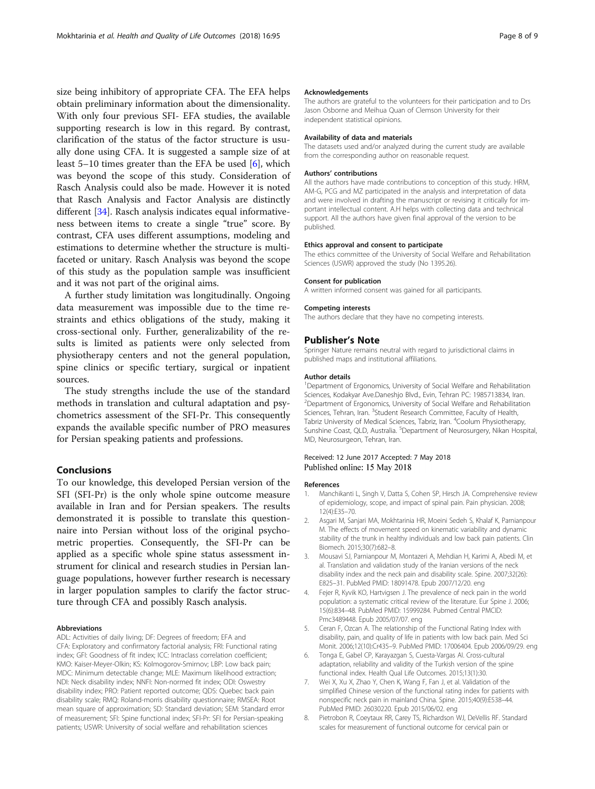<span id="page-7-0"></span>size being inhibitory of appropriate CFA. The EFA helps obtain preliminary information about the dimensionality. With only four previous SFI- EFA studies, the available supporting research is low in this regard. By contrast, clarification of the status of the factor structure is usually done using CFA. It is suggested a sample size of at least 5–10 times greater than the EFA be used [6], which was beyond the scope of this study. Consideration of Rasch Analysis could also be made. However it is noted that Rasch Analysis and Factor Analysis are distinctly different [\[34](#page-8-0)]. Rasch analysis indicates equal informativeness between items to create a single "true" score. By contrast, CFA uses different assumptions, modeling and estimations to determine whether the structure is multifaceted or unitary. Rasch Analysis was beyond the scope of this study as the population sample was insufficient and it was not part of the original aims.

A further study limitation was longitudinally. Ongoing data measurement was impossible due to the time restraints and ethics obligations of the study, making it cross-sectional only. Further, generalizability of the results is limited as patients were only selected from physiotherapy centers and not the general population, spine clinics or specific tertiary, surgical or inpatient sources.

The study strengths include the use of the standard methods in translation and cultural adaptation and psychometrics assessment of the SFI-Pr. This consequently expands the available specific number of PRO measures for Persian speaking patients and professions.

#### Conclusions

To our knowledge, this developed Persian version of the SFI (SFI-Pr) is the only whole spine outcome measure available in Iran and for Persian speakers. The results demonstrated it is possible to translate this questionnaire into Persian without loss of the original psychometric properties. Consequently, the SFI-Pr can be applied as a specific whole spine status assessment instrument for clinical and research studies in Persian language populations, however further research is necessary in larger population samples to clarify the factor structure through CFA and possibly Rasch analysis.

#### Abbreviations

ADL: Activities of daily living; DF: Degrees of freedom; EFA and CFA: Exploratory and confirmatory factorial analysis; FRI: Functional rating index; GFI: Goodness of fit index; ICC: Intraclass correlation coefficient; KMO: Kaiser-Meyer-Olkin; KS: Kolmogorov-Smirnov; LBP: Low back pain; MDC: Minimum detectable change; MLE: Maximum likelihood extraction; NDI: Neck disability index; NNFI: Non-normed fit index; ODI: Oswestry disability index; PRO: Patient reported outcome; QDS: Quebec back pain disability scale; RMQ: Roland-morris disability questionnaire; RMSEA: Root mean square of approximation; SD: Standard deviation; SEM: Standard error of measurement; SFI: Spine functional index; SFI-Pr: SFI for Persian-speaking patients; USWR: University of social welfare and rehabilitation sciences

#### Acknowledgements

The authors are grateful to the volunteers for their participation and to Drs Jason Osborne and Meihua Quan of Clemson University for their independent statistical opinions.

#### Availability of data and materials

The datasets used and/or analyzed during the current study are available from the corresponding author on reasonable request.

#### Authors' contributions

All the authors have made contributions to conception of this study. HRM, AM-G, PCG and MZ participated in the analysis and interpretation of data and were involved in drafting the manuscript or revising it critically for important intellectual content. A.H helps with collecting data and technical support. All the authors have given final approval of the version to be published.

#### Ethics approval and consent to participate

The ethics committee of the University of Social Welfare and Rehabilitation Sciences (USWR) approved the study (No 1395.26).

#### Consent for publication

A written informed consent was gained for all participants.

#### Competing interests

The authors declare that they have no competing interests.

#### Publisher's Note

Springer Nature remains neutral with regard to jurisdictional claims in published maps and institutional affiliations.

#### Author details

<sup>1</sup>Department of Ergonomics, University of Social Welfare and Rehabilitation Sciences, Kodakyar Ave.Daneshjo Blvd., Evin, Tehran PC: 1985713834, Iran. <sup>2</sup> Department of Ergonomics, University of Social Welfare and Rehabilitation Sciences, Tehran, Iran. <sup>3</sup>Student Research Committee, Faculty of Health, Tabriz University of Medical Sciences, Tabriz, Iran. <sup>4</sup>Coolum Physiotherapy, Sunshine Coast, QLD, Australia. <sup>5</sup>Department of Neurosurgery, Nikan Hospital MD, Neurosurgeon, Tehran, Iran.

#### Received: 12 June 2017 Accepted: 7 May 2018 Published online: 15 May 2018

#### References

- 1. Manchikanti L, Singh V, Datta S, Cohen SP, Hirsch JA. Comprehensive review of epidemiology, scope, and impact of spinal pain. Pain physician. 2008; 12(4):E35–70.
- 2. Asgari M, Sanjari MA, Mokhtarinia HR, Moeini Sedeh S, Khalaf K, Parnianpour M. The effects of movement speed on kinematic variability and dynamic stability of the trunk in healthy individuals and low back pain patients. Clin Biomech. 2015;30(7):682–8.
- 3. Mousavi SJ, Parnianpour M, Montazeri A, Mehdian H, Karimi A, Abedi M, et al. Translation and validation study of the Iranian versions of the neck disability index and the neck pain and disability scale. Spine. 2007;32(26): E825–31. PubMed PMID: 18091478. Epub 2007/12/20. eng
- 4. Fejer R, Kyvik KO, Hartvigsen J. The prevalence of neck pain in the world population: a systematic critical review of the literature. Eur Spine J. 2006; 15(6):834–48. PubMed PMID: 15999284. Pubmed Central PMCID: Pmc3489448. Epub 2005/07/07. eng
- 5. Ceran F, Ozcan A. The relationship of the Functional Rating Index with disability, pain, and quality of life in patients with low back pain. Med Sci Monit. 2006;12(10):Cr435–9. PubMed PMID: 17006404. Epub 2006/09/29. eng
- 6. Tonga E, Gabel CP, Karayazgan S, Cuesta-Vargas AI. Cross-cultural adaptation, reliability and validity of the Turkish version of the spine functional index. Health Qual Life Outcomes. 2015;13(1):30.
- 7. Wei X, Xu X, Zhao Y, Chen K, Wang F, Fan J, et al. Validation of the simplified Chinese version of the functional rating index for patients with nonspecific neck pain in mainland China. Spine. 2015;40(9):E538–44. PubMed PMID: 26030220. Epub 2015/06/02. eng
- 8. Pietrobon R, Coeytaux RR, Carey TS, Richardson WJ, DeVellis RF. Standard scales for measurement of functional outcome for cervical pain or